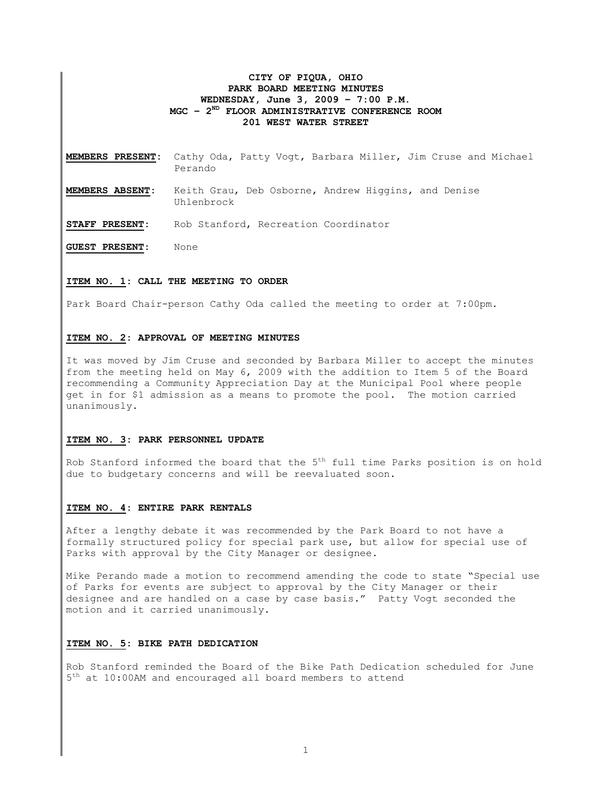## **CITY OF PIQUA, OHIO PARK BOARD MEETING MINUTES WEDNESDAY, June 3, 2009 – 7:00 P.M. MGC – 2ND FLOOR ADMINISTRATIVE CONFERENCE ROOM 201 WEST WATER STREET**

- **MEMBERS PRESENT:** Cathy Oda, Patty Vogt, Barbara Miller, Jim Cruse and Michael Perando
- **MEMBERS ABSENT:** Keith Grau, Deb Osborne, Andrew Higgins, and Denise Uhlenbrock

**STAFF PRESENT:** Rob Stanford, Recreation Coordinator

**GUEST PRESENT:** None

## **ITEM NO. 1: CALL THE MEETING TO ORDER**

Park Board Chair-person Cathy Oda called the meeting to order at 7:00pm.

#### **ITEM NO. 2: APPROVAL OF MEETING MINUTES**

It was moved by Jim Cruse and seconded by Barbara Miller to accept the minutes from the meeting held on May 6, 2009 with the addition to Item 5 of the Board recommending a Community Appreciation Day at the Municipal Pool where people get in for \$1 admission as a means to promote the pool. The motion carried unanimously.

### **ITEM NO. 3: PARK PERSONNEL UPDATE**

Rob Stanford informed the board that the  $5<sup>th</sup>$  full time Parks position is on hold due to budgetary concerns and will be reevaluated soon.

## **ITEM NO. 4: ENTIRE PARK RENTALS**

After a lengthy debate it was recommended by the Park Board to not have a formally structured policy for special park use, but allow for special use of Parks with approval by the City Manager or designee.

Mike Perando made a motion to recommend amending the code to state "Special use of Parks for events are subject to approval by the City Manager or their designee and are handled on a case by case basis." Patty Vogt seconded the motion and it carried unanimously.

## **ITEM NO. 5: BIKE PATH DEDICATION**

Rob Stanford reminded the Board of the Bike Path Dedication scheduled for June  $5<sup>th</sup>$  at 10:00AM and encouraged all board members to attend